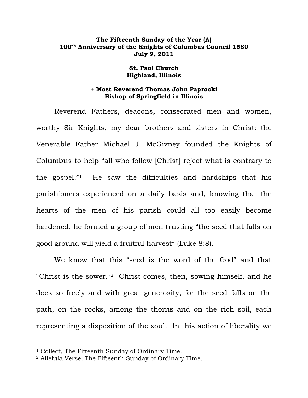## **The Fifteenth Sunday of the Year (A) 100th Anniversary of the Knights of Columbus Council 1580 July 9, 2011**

## **St. Paul Church Highland, Illinois**

## **+ Most Reverend Thomas John Paprocki Bishop of Springfield in Illinois**

 Reverend Fathers, deacons, consecrated men and women, worthy Sir Knights, my dear brothers and sisters in Christ: the Venerable Father Michael J. McGivney founded the Knights of Columbus to help "all who follow [Christ] reject what is contrary to the gospel."1 He saw the difficulties and hardships that his parishioners experienced on a daily basis and, knowing that the hearts of the men of his parish could all too easily become hardened, he formed a group of men trusting "the seed that falls on good ground will yield a fruitful harvest" (Luke 8:8).

 We know that this "seed is the word of the God" and that "Christ is the sower."2 Christ comes, then, sowing himself, and he does so freely and with great generosity, for the seed falls on the path, on the rocks, among the thorns and on the rich soil, each representing a disposition of the soul. In this action of liberality we

<sup>&</sup>lt;sup>1</sup> Collect, The Fifteenth Sunday of Ordinary Time.

<sup>2</sup> Alleluia Verse, The Fifteenth Sunday of Ordinary Time.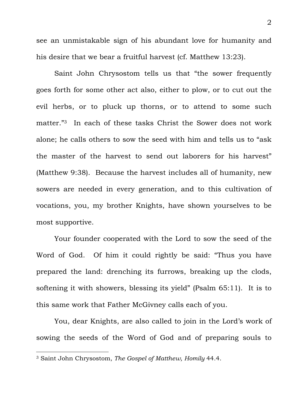see an unmistakable sign of his abundant love for humanity and his desire that we bear a fruitful harvest (cf. Matthew 13:23).

 Saint John Chrysostom tells us that "the sower frequently goes forth for some other act also, either to plow, or to cut out the evil herbs, or to pluck up thorns, or to attend to some such matter."3 In each of these tasks Christ the Sower does not work alone; he calls others to sow the seed with him and tells us to "ask the master of the harvest to send out laborers for his harvest" (Matthew 9:38). Because the harvest includes all of humanity, new sowers are needed in every generation, and to this cultivation of vocations, you, my brother Knights, have shown yourselves to be most supportive.

 Your founder cooperated with the Lord to sow the seed of the Word of God. Of him it could rightly be said: "Thus you have prepared the land: drenching its furrows, breaking up the clods, softening it with showers, blessing its yield" (Psalm 65:11). It is to this same work that Father McGivney calls each of you.

 You, dear Knights, are also called to join in the Lord's work of sowing the seeds of the Word of God and of preparing souls to

<sup>3</sup> Saint John Chrysostom, *The Gospel of Matthew, Homily* 44.4.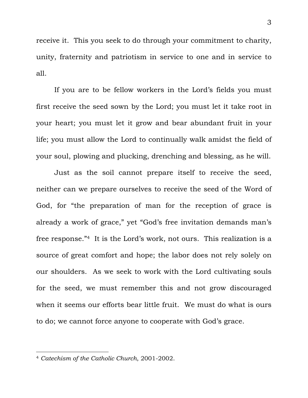receive it. This you seek to do through your commitment to charity, unity, fraternity and patriotism in service to one and in service to all.

 If you are to be fellow workers in the Lord's fields you must first receive the seed sown by the Lord; you must let it take root in your heart; you must let it grow and bear abundant fruit in your life; you must allow the Lord to continually walk amidst the field of your soul, plowing and plucking, drenching and blessing, as he will.

 Just as the soil cannot prepare itself to receive the seed, neither can we prepare ourselves to receive the seed of the Word of God, for "the preparation of man for the reception of grace is already a work of grace," yet "God's free invitation demands man's free response."4 It is the Lord's work, not ours. This realization is a source of great comfort and hope; the labor does not rely solely on our shoulders. As we seek to work with the Lord cultivating souls for the seed, we must remember this and not grow discouraged when it seems our efforts bear little fruit. We must do what is ours to do; we cannot force anyone to cooperate with God's grace.

<sup>4</sup> *Catechism of the Catholic Church*, 2001-2002.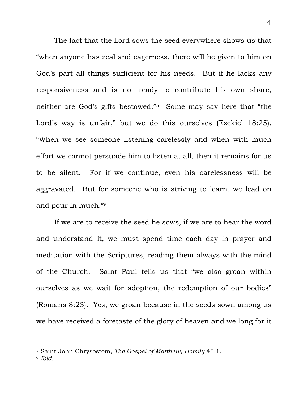The fact that the Lord sows the seed everywhere shows us that "when anyone has zeal and eagerness, there will be given to him on God's part all things sufficient for his needs. But if he lacks any responsiveness and is not ready to contribute his own share, neither are God's gifts bestowed."5 Some may say here that "the Lord's way is unfair," but we do this ourselves (Ezekiel 18:25). "When we see someone listening carelessly and when with much effort we cannot persuade him to listen at all, then it remains for us to be silent. For if we continue, even his carelessness will be aggravated. But for someone who is striving to learn, we lead on and pour in much."6

 If we are to receive the seed he sows, if we are to hear the word and understand it, we must spend time each day in prayer and meditation with the Scriptures, reading them always with the mind of the Church. Saint Paul tells us that "we also groan within ourselves as we wait for adoption, the redemption of our bodies" (Romans 8:23). Yes, we groan because in the seeds sown among us we have received a foretaste of the glory of heaven and we long for it

<sup>5</sup> Saint John Chrysostom, *The Gospel of Matthew, Homily* 45.1.

<sup>6</sup> *Ibid*.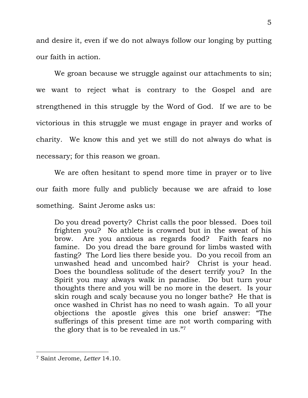and desire it, even if we do not always follow our longing by putting our faith in action.

 We groan because we struggle against our attachments to sin; we want to reject what is contrary to the Gospel and are strengthened in this struggle by the Word of God. If we are to be victorious in this struggle we must engage in prayer and works of charity. We know this and yet we still do not always do what is necessary; for this reason we groan.

 We are often hesitant to spend more time in prayer or to live our faith more fully and publicly because we are afraid to lose something. Saint Jerome asks us:

Do you dread poverty? Christ calls the poor blessed. Does toil frighten you? No athlete is crowned but in the sweat of his brow. Are you anxious as regards food? Faith fears no famine. Do you dread the bare ground for limbs wasted with fasting? The Lord lies there beside you. Do you recoil from an unwashed head and uncombed hair? Christ is your head. Does the boundless solitude of the desert terrify you? In the Spirit you may always walk in paradise. Do but turn your thoughts there and you will be no more in the desert. Is your skin rough and scaly because you no longer bathe? He that is once washed in Christ has no need to wash again. To all your objections the apostle gives this one brief answer: "The sufferings of this present time are not worth comparing with the glory that is to be revealed in us."7

<sup>7</sup> Saint Jerome, *Letter* 14.10.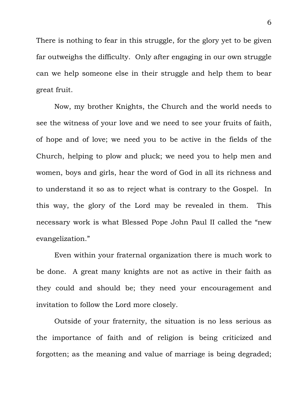There is nothing to fear in this struggle, for the glory yet to be given far outweighs the difficulty. Only after engaging in our own struggle can we help someone else in their struggle and help them to bear great fruit.

 Now, my brother Knights, the Church and the world needs to see the witness of your love and we need to see your fruits of faith, of hope and of love; we need you to be active in the fields of the Church, helping to plow and pluck; we need you to help men and women, boys and girls, hear the word of God in all its richness and to understand it so as to reject what is contrary to the Gospel. In this way, the glory of the Lord may be revealed in them. This necessary work is what Blessed Pope John Paul II called the "new evangelization."

 Even within your fraternal organization there is much work to be done. A great many knights are not as active in their faith as they could and should be; they need your encouragement and invitation to follow the Lord more closely.

 Outside of your fraternity, the situation is no less serious as the importance of faith and of religion is being criticized and forgotten; as the meaning and value of marriage is being degraded;